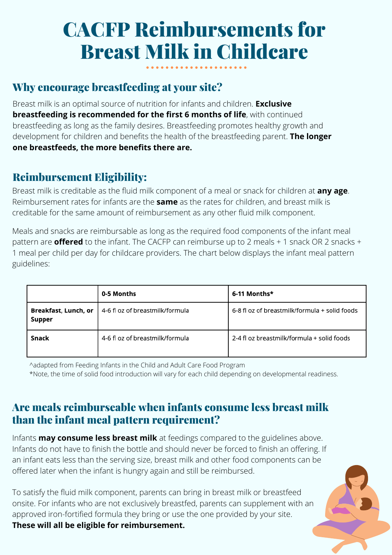# CACFP Reimbursements for Breast Milk in Childcare

## Why encourage breastfeeding at your site?

Breast milk is an optimal source of nutrition for infants and children. **Exclusive breastfeeding is recommended for the first 6 months of life**, with continued breastfeeding as long as the family desires. Breastfeeding promotes healthy growth and development for children and benefits the health of the breastfeeding parent. **The longer one breastfeeds, the more benefits there are.**

## Reimbursement Eligibility:

Breast milk is creditable as the fluid milk component of a meal or snack for children at **any age**. Reimbursement rates for infants are the **same** as the rates for children, and breast milk is creditable for the same amount of reimbursement as any other fluid milk component.

Meals and snacks are reimbursable as long as the required food components of the infant meal pattern are **offered** to the infant. The CACFP can reimburse up to 2 meals + 1 snack OR 2 snacks + 1 meal per child per day for childcare providers. The chart below displays the infant meal pattern guidelines:

|                                | 0-5 Months                      | 6-11 Months*                                  |
|--------------------------------|---------------------------------|-----------------------------------------------|
| Breakfast, Lunch, or<br>Supper | 4-6 fl oz of breastmilk/formula | 6-8 fl oz of breastmilk/formula + solid foods |
| Snack                          | 4-6 fl oz of breastmilk/formula | 2-4 fl oz breastmilk/formula + solid foods    |

^adapted from Feeding Infants in the Child and Adult Care Food Program \*Note, the time of solid food introduction will vary for each child depending on developmental readiness.

#### Are meals reimburseable when infants consume less breast milk than the infant meal pattern requirement?

Infants **may consume less breast milk** at feedings compared to the guidelines above. Infants do not have to finish the bottle and should never be forced to finish an offering. If an infant eats less than the serving size, breast milk and other food components can be offered later when the infant is hungry again and still be reimbursed.

To satisfy the fluid milk component, parents can bring in breast milk or breastfeed onsite. For infants who are not exclusively breastfed, parents can supplement with an approved iron-fortified formula they bring or use the one provided by your site.

**These will all be eligible for reimbursement.**